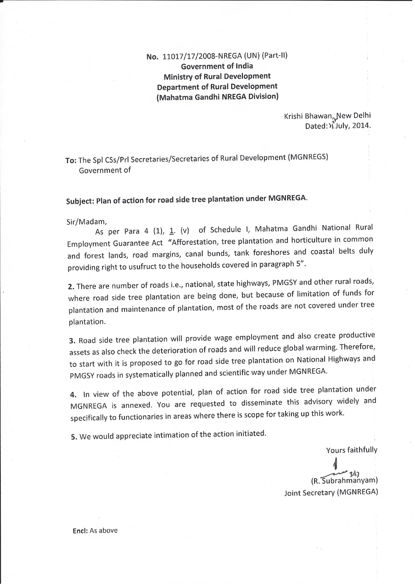No. 11017/17/2008-NREGA (UN) (Part-II) **Government of India Ministry of Rural Development Department of Rural Development** (Mahatma Gandhi NREGA Division)

> Krishi Bhawan, New Delhi Dated:  $\sqrt{3}$ July, 2014.

To: The Spl CSs/Prl Secretaries/Secretaries of Rural Development (MGNREGS) Government of

## Subject: Plan of action for road side tree plantation under MGNREGA.

Sir/Madam,

As per Para 4 (1), 1. (v) of Schedule I, Mahatma Gandhi National Rural Employment Guarantee Act "Afforestation, tree plantation and horticulture in common and forest lands, road margins, canal bunds, tank foreshores and coastal belts duly providing right to usufruct to the households covered in paragraph 5".

2. There are number of roads i.e., national, state highways, PMGSY and other rural roads, where road side tree plantation are being done, but because of limitation of funds for plantation and maintenance of plantation, most of the roads are not covered under tree plantation.

3. Road side tree plantation will provide wage employment and also create productive assets as also check the deterioration of roads and will reduce global warming. Therefore, to start with it is proposed to go for road side tree plantation on National Highways and PMGSY roads in systematically planned and scientific way under MGNREGA.

4. In view of the above potential, plan of action for road side tree plantation under MGNREGA is annexed. You are requested to disseminate this advisory widely and specifically to functionaries in areas where there is scope for taking up this work.

5. We would appreciate intimation of the action initiated.

Yours faithfully

(R. Subrahmanyam) Joint Secretary (MGNREGA)

Encl: As above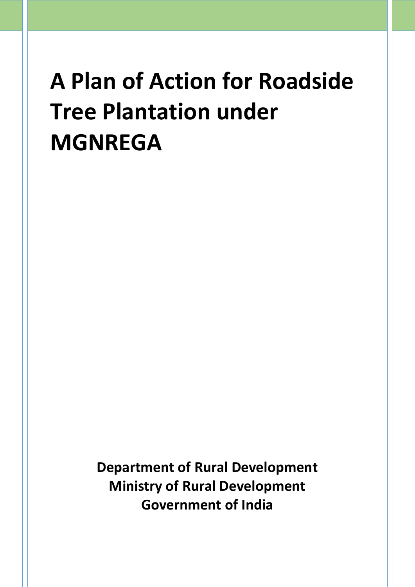**Department of Rural Development Ministry of Rural Development Government of India**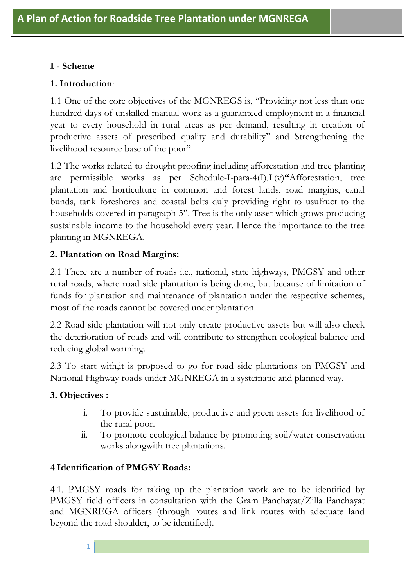### **I - Scheme**

#### 1**. Introduction**:

1.1 One of the core objectives of the MGNREGS is, "Providing not less than one hundred days of unskilled manual work as a guaranteed employment in a financial year to every household in rural areas as per demand, resulting in creation of productive assets of prescribed quality and durability" and Strengthening the livelihood resource base of the poor".

1.2 The works related to drought proofing including afforestation and tree planting are permissible works as per Schedule-I-para-4(I),I.(v)**"**Afforestation, tree plantation and horticulture in common and forest lands, road margins, canal bunds, tank foreshores and coastal belts duly providing right to usufruct to the households covered in paragraph 5". Tree is the only asset which grows producing sustainable income to the household every year. Hence the importance to the tree planting in MGNREGA.

### **2. Plantation on Road Margins:**

2.1 There are a number of roads i.e., national, state highways, PMGSY and other rural roads, where road side plantation is being done, but because of limitation of funds for plantation and maintenance of plantation under the respective schemes, most of the roads cannot be covered under plantation.

2.2 Road side plantation will not only create productive assets but will also check the deterioration of roads and will contribute to strengthen ecological balance and reducing global warming.

2.3 To start with,it is proposed to go for road side plantations on PMGSY and National Highway roads under MGNREGA in a systematic and planned way.

### **3. Objectives :**

1

- i. To provide sustainable, productive and green assets for livelihood of the rural poor.
- ii. To promote ecological balance by promoting soil/water conservation works alongwith tree plantations.

### 4.**Identification of PMGSY Roads:**

4.1. PMGSY roads for taking up the plantation work are to be identified by PMGSY field officers in consultation with the Gram Panchayat/Zilla Panchayat and MGNREGA officers (through routes and link routes with adequate land beyond the road shoulder, to be identified).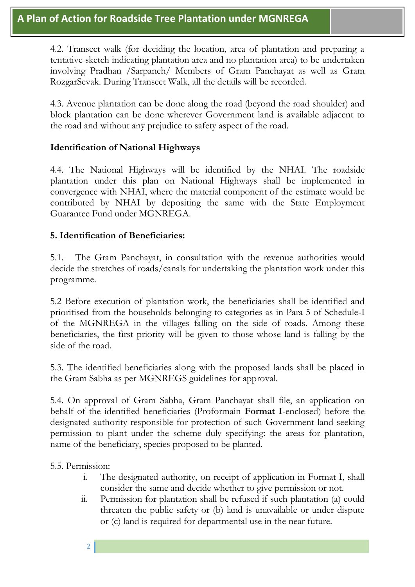4.2. Transect walk (for deciding the location, area of plantation and preparing a tentative sketch indicating plantation area and no plantation area) to be undertaken involving Pradhan /Sarpanch/ Members of Gram Panchayat as well as Gram RozgarSevak. During Transect Walk, all the details will be recorded.

4.3. Avenue plantation can be done along the road (beyond the road shoulder) and block plantation can be done wherever Government land is available adjacent to the road and without any prejudice to safety aspect of the road.

#### **Identification of National Highways**

4.4. The National Highways will be identified by the NHAI. The roadside plantation under this plan on National Highways shall be implemented in convergence with NHAI, where the material component of the estimate would be contributed by NHAI by depositing the same with the State Employment Guarantee Fund under MGNREGA.

#### **5. Identification of Beneficiaries:**

5.1. The Gram Panchayat, in consultation with the revenue authorities would decide the stretches of roads/canals for undertaking the plantation work under this programme.

5.2 Before execution of plantation work, the beneficiaries shall be identified and prioritised from the households belonging to categories as in Para 5 of Schedule-I of the MGNREGA in the villages falling on the side of roads. Among these beneficiaries, the first priority will be given to those whose land is falling by the side of the road.

5.3. The identified beneficiaries along with the proposed lands shall be placed in the Gram Sabha as per MGNREGS guidelines for approval.

5.4. On approval of Gram Sabha, Gram Panchayat shall file, an application on behalf of the identified beneficiaries (Proformain **Format I**-enclosed) before the designated authority responsible for protection of such Government land seeking permission to plant under the scheme duly specifying: the areas for plantation, name of the beneficiary, species proposed to be planted.

5.5. Permission:

- i. The designated authority, on receipt of application in Format I, shall consider the same and decide whether to give permission or not.
- ii. Permission for plantation shall be refused if such plantation (a) could threaten the public safety or (b) land is unavailable or under dispute or (c) land is required for departmental use in the near future.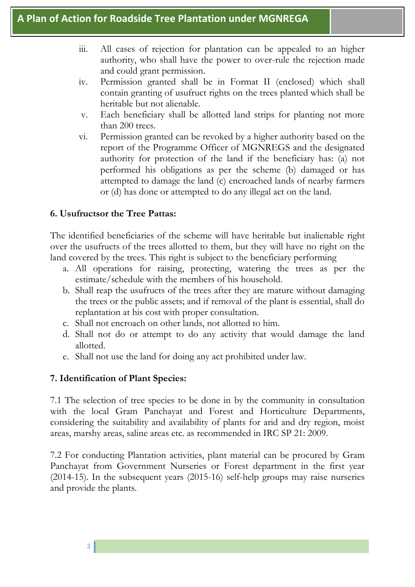- iii. All cases of rejection for plantation can be appealed to an higher authority, who shall have the power to over-rule the rejection made and could grant permission.
- iv. Permission granted shall be in Format II (enclosed) which shall contain granting of usufruct rights on the trees planted which shall be heritable but not alienable.
- v. Each beneficiary shall be allotted land strips for planting not more than 200 trees.
- vi. Permission granted can be revoked by a higher authority based on the report of the Programme Officer of MGNREGS and the designated authority for protection of the land if the beneficiary has: (a) not performed his obligations as per the scheme (b) damaged or has attempted to damage the land (c) encroached lands of nearby farmers or (d) has done or attempted to do any illegal act on the land.

#### **6. Usufructsor the Tree Pattas:**

The identified beneficiaries of the scheme will have heritable but inalienable right over the usufructs of the trees allotted to them, but they will have no right on the land covered by the trees. This right is subject to the beneficiary performing

- a. All operations for raising, protecting, watering the trees as per the estimate/schedule with the members of his household.
- b. Shall reap the usufructs of the trees after they are mature without damaging the trees or the public assets; and if removal of the plant is essential, shall do replantation at his cost with proper consultation.
- c. Shall not encroach on other lands, not allotted to him.
- d. Shall not do or attempt to do any activity that would damage the land allotted.
- e. Shall not use the land for doing any act prohibited under law.

### **7. Identification of Plant Species:**

7.1 The selection of tree species to be done in by the community in consultation with the local Gram Panchayat and Forest and Horticulture Departments, considering the suitability and availability of plants for arid and dry region, moist areas, marshy areas, saline areas etc. as recommended in IRC SP 21: 2009.

7.2 For conducting Plantation activities, plant material can be procured by Gram Panchayat from Government Nurseries or Forest department in the first year (2014-15). In the subsequent years (2015-16) self-help groups may raise nurseries and provide the plants.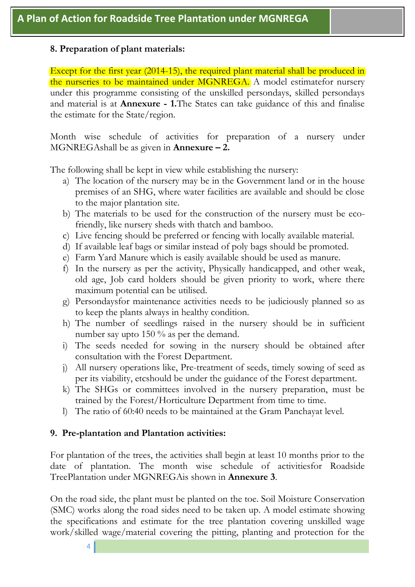#### **8. Preparation of plant materials:**

Except for the first year (2014-15), the required plant material shall be produced in the nurseries to be maintained under MGNREGA. A model estimatefor nursery under this programme consisting of the unskilled persondays, skilled persondays and material is at **Annexure - 1.**The States can take guidance of this and finalise the estimate for the State/region.

Month wise schedule of activities for preparation of a nursery under MGNREGAshall be as given in **Annexure – 2.** 

The following shall be kept in view while establishing the nursery:

- a) The location of the nursery may be in the Government land or in the house premises of an SHG, where water facilities are available and should be close to the major plantation site.
- b) The materials to be used for the construction of the nursery must be ecofriendly, like nursery sheds with thatch and bamboo.
- c) Live fencing should be preferred or fencing with locally available material.
- d) If available leaf bags or similar instead of poly bags should be promoted.
- e) Farm Yard Manure which is easily available should be used as manure.
- f) In the nursery as per the activity, Physically handicapped, and other weak, old age, Job card holders should be given priority to work, where there maximum potential can be utilised.
- g) Persondaysfor maintenance activities needs to be judiciously planned so as to keep the plants always in healthy condition.
- h) The number of seedlings raised in the nursery should be in sufficient number say upto 150 % as per the demand.
- i) The seeds needed for sowing in the nursery should be obtained after consultation with the Forest Department.
- j) All nursery operations like, Pre-treatment of seeds, timely sowing of seed as per its viability, etcshould be under the guidance of the Forest department.
- k) The SHGs or committees involved in the nursery preparation, must be trained by the Forest/Horticulture Department from time to time.
- l) The ratio of 60:40 needs to be maintained at the Gram Panchayat level.

#### **9. Pre-plantation and Plantation activities:**

For plantation of the trees, the activities shall begin at least 10 months prior to the date of plantation. The month wise schedule of activitiesfor Roadside TreePlantation under MGNREGAis shown in **Annexure 3**.

On the road side, the plant must be planted on the toe. Soil Moisture Conservation (SMC) works along the road sides need to be taken up. A model estimate showing the specifications and estimate for the tree plantation covering unskilled wage work/skilled wage/material covering the pitting, planting and protection for the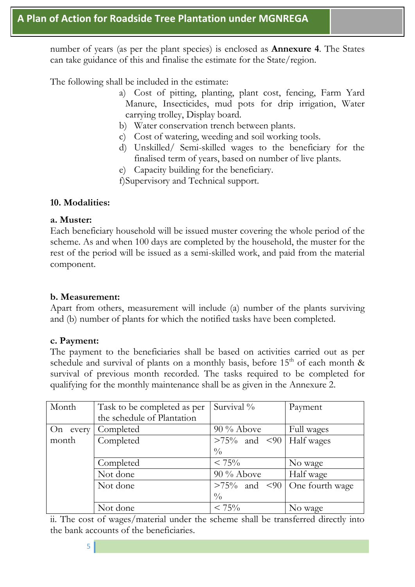number of years (as per the plant species) is enclosed as **Annexure 4**. The States can take guidance of this and finalise the estimate for the State/region.

The following shall be included in the estimate:

- a) Cost of pitting, planting, plant cost, fencing, Farm Yard Manure, Insecticides, mud pots for drip irrigation, Water carrying trolley, Display board.
- b) Water conservation trench between plants.
- c) Cost of watering, weeding and soil working tools.
- d) Unskilled/ Semi-skilled wages to the beneficiary for the finalised term of years, based on number of live plants.
- e) Capacity building for the beneficiary.
- f)Supervisory and Technical support.

#### **10. Modalities:**

#### **a. Muster:**

Each beneficiary household will be issued muster covering the whole period of the scheme. As and when 100 days are completed by the household, the muster for the rest of the period will be issued as a semi-skilled work, and paid from the material component.

#### **b. Measurement:**

Apart from others, measurement will include (a) number of the plants surviving and (b) number of plants for which the notified tasks have been completed.

#### **c. Payment:**

The payment to the beneficiaries shall be based on activities carried out as per schedule and survival of plants on a monthly basis, before  $15<sup>th</sup>$  of each month & survival of previous month recorded. The tasks required to be completed for qualifying for the monthly maintenance shall be as given in the Annexure 2.

| Month    | Task to be completed as per | Survival %                         | Payment    |
|----------|-----------------------------|------------------------------------|------------|
|          | the schedule of Plantation  |                                    |            |
| On every | Completed                   | $90\%$ Above                       | Full wages |
| month    | Completed                   | $>75\%$ and $< 90$ Half wages      |            |
|          |                             | $\frac{0}{0}$                      |            |
|          | Completed                   | $< 75\%$                           | No wage    |
|          | Not done                    | 90 % Above                         | Half wage  |
|          | Not done                    | $>75\%$ and $< 90$ One fourth wage |            |
|          |                             | $\frac{0}{0}$                      |            |
|          | Not done                    | $< 75\%$                           | No wage    |

ii. The cost of wages/material under the scheme shall be transferred directly into the bank accounts of the beneficiaries.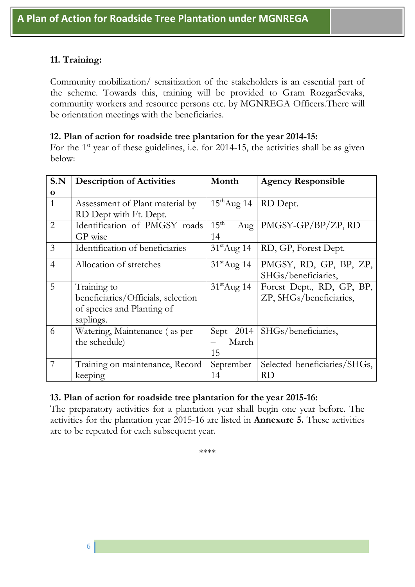### **11. Training:**

Community mobilization/ sensitization of the stakeholders is an essential part of the scheme. Towards this, training will be provided to Gram RozgarSevaks, community workers and resource persons etc. by MGNREGA Officers.There will be orientation meetings with the beneficiaries.

#### **12. Plan of action for roadside tree plantation for the year 2014-15:**

For the  $1<sup>st</sup>$  year of these guidelines, i.e. for 2014-15, the activities shall be as given below:

| S.N            | <b>Description of Activities</b>   | Month                   | <b>Agency Responsible</b>    |
|----------------|------------------------------------|-------------------------|------------------------------|
| $\mathbf 0$    |                                    |                         |                              |
| $\mathbf{1}$   | Assessment of Plant material by    | $15^{\text{th}}$ Aug 14 | RD Dept.                     |
|                | RD Dept with Ft. Dept.             |                         |                              |
| $\overline{2}$ | Identification of PMGSY roads      | $15^{\text{th}}$<br>Aug | PMGSY-GP/BP/ZP, RD           |
|                | GP wise                            | 14                      |                              |
| $\mathfrak{Z}$ | Identification of beneficiaries    | $31^{\text{st}}$ Aug 14 | RD, GP, Forest Dept.         |
| $\overline{4}$ | Allocation of stretches            | $31^{\text{st}}$ Aug 14 | PMGSY, RD, GP, BP, ZP,       |
|                |                                    |                         | SHGs/beneficiaries,          |
| 5              | Training to                        | $31^{\text{st}}$ Aug 14 | Forest Dept., RD, GP, BP,    |
|                | beneficiaries/Officials, selection |                         | ZP, SHGs/beneficiaries,      |
|                | of species and Planting of         |                         |                              |
|                | saplings.                          |                         |                              |
| 6              | Watering, Maintenance (as per      | Sept $2014$             | SHGs/beneficiaries,          |
|                | the schedule)                      | March                   |                              |
|                |                                    | 15                      |                              |
| 7              | Training on maintenance, Record    | September               | Selected beneficiaries/SHGs, |
|                | keeping                            | 14                      | RD                           |

#### **13. Plan of action for roadside tree plantation for the year 2015-16:**

The preparatory activities for a plantation year shall begin one year before. The activities for the plantation year 2015-16 are listed in **Annexure 5.** These activities are to be repeated for each subsequent year.

\*\*\*\*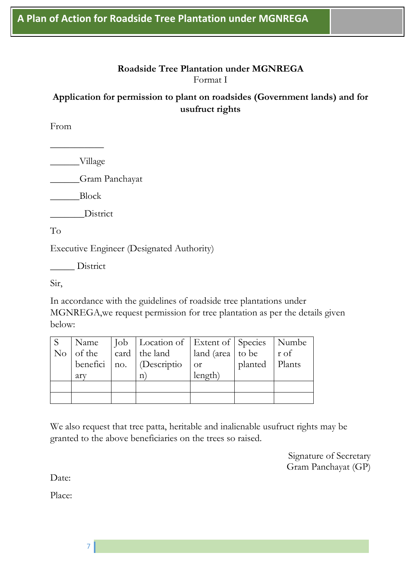#### **Roadside Tree Plantation under MGNREGA** Format I

### **Application for permission to plant on roadsides (Government lands) and for usufruct rights**

From

\_\_\_\_\_\_Village

 $\overline{\phantom{a}}$  , where  $\overline{\phantom{a}}$ 

\_\_\_\_\_\_Gram Panchayat

\_\_\_\_\_\_Block

District

To

Executive Engineer (Designated Authority)

\_\_\_\_\_ District

Sir,

In accordance with the guidelines of roadside tree plantations under MGNREGA,we request permission for tree plantation as per the details given below:

|                           | Name   Job   Location of   Extent of   Species   Numbe                                             |               |                |             |
|---------------------------|----------------------------------------------------------------------------------------------------|---------------|----------------|-------------|
| $\vert$ No $\vert$ of the | $\int \text{card} \,   \, \text{the land} \,   \, \text{land} \, \text{(area }   \, \text{to be})$ |               |                | $r \circ f$ |
|                           | benefici   no. $ $ (Descriptio                                                                     | $\frac{1}{x}$ | planted Plants |             |
| ary                       | n)                                                                                                 | length)       |                |             |
|                           |                                                                                                    |               |                |             |
|                           |                                                                                                    |               |                |             |

We also request that tree patta, heritable and inalienable usufruct rights may be granted to the above beneficiaries on the trees so raised.

> Signature of Secretary Gram Panchayat (GP)

Date:

Place: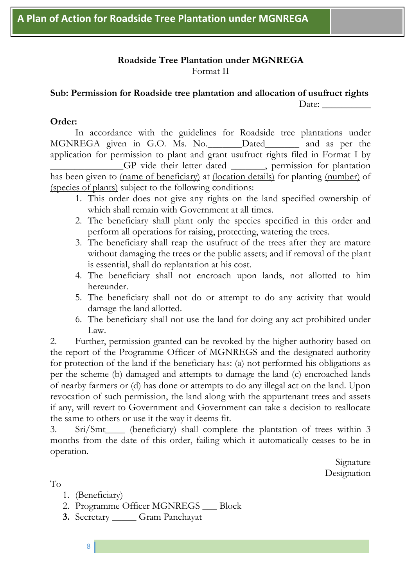#### **Roadside Tree Plantation under MGNREGA** Format II

#### **Sub: Permission for Roadside tree plantation and allocation of usufruct rights**  Date:

#### **Order:**

In accordance with the guidelines for Roadside tree plantations under MGNREGA given in G.O. Ms. No.\_\_\_\_\_\_\_Dated\_\_\_\_\_\_\_ and as per the application for permission to plant and grant usufruct rights filed in Format I by \_\_\_\_\_\_\_\_\_\_\_\_\_\_\_GP vide their letter dated \_\_\_\_\_\_\_, permission for plantation has been given to (name of beneficiary) at (location details) for planting (number) of (species of plants) subject to the following conditions:

- 1. This order does not give any rights on the land specified ownership of which shall remain with Government at all times.
- 2. The beneficiary shall plant only the species specified in this order and perform all operations for raising, protecting, watering the trees.
- 3. The beneficiary shall reap the usufruct of the trees after they are mature without damaging the trees or the public assets; and if removal of the plant is essential, shall do replantation at his cost.
- 4. The beneficiary shall not encroach upon lands, not allotted to him hereunder.
- 5. The beneficiary shall not do or attempt to do any activity that would damage the land allotted.
- 6. The beneficiary shall not use the land for doing any act prohibited under Law.

2. Further, permission granted can be revoked by the higher authority based on the report of the Programme Officer of MGNREGS and the designated authority for protection of the land if the beneficiary has: (a) not performed his obligations as per the scheme (b) damaged and attempts to damage the land (c) encroached lands of nearby farmers or (d) has done or attempts to do any illegal act on the land. Upon revocation of such permission, the land along with the appurtenant trees and assets if any, will revert to Government and Government can take a decision to reallocate the same to others or use it the way it deems fit.

3. Sri/Smt\_\_\_\_ (beneficiary) shall complete the plantation of trees within 3 months from the date of this order, failing which it automatically ceases to be in operation.

> Signature Designation

To

- 1. (Beneficiary)
- 2. Programme Officer MGNREGS \_\_\_ Block
- **3.** Secretary \_\_\_\_\_ Gram Panchayat
	- 8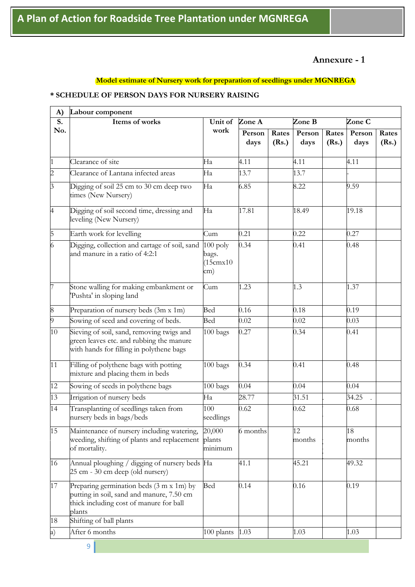#### **Annexure - 1**

#### **Model estimate of Nursery work for preparation of seedlings under MGNREGA**

#### **\* SCHEDULE OF PERSON DAYS FOR NURSERY RAISING**

| A)                        | Labour component                                                                                                                           |                                         |                |                |                |                |                |                |
|---------------------------|--------------------------------------------------------------------------------------------------------------------------------------------|-----------------------------------------|----------------|----------------|----------------|----------------|----------------|----------------|
| $\overline{\mathbf{S}}$ . | Items of works                                                                                                                             | Unit of                                 | Zone A         |                | Zone B         |                | Zone C         |                |
| No.                       |                                                                                                                                            | work                                    | Person<br>days | Rates<br>(Rs.) | Person<br>days | Rates<br>(Rs.) | Person<br>days | Rates<br>(Rs.) |
| $\mathbf{1}$              | Clearance of site                                                                                                                          | Ha                                      | 4.11           |                | 4.11           |                | 4.11           |                |
| $\overline{c}$            | Clearance of Lantana infected areas                                                                                                        | Ha                                      | 13.7           |                | 13.7           |                |                |                |
| $\overline{3}$            | Digging of soil 25 cm to 30 cm deep two<br>times (New Nursery)                                                                             | Ha                                      | 6.85           |                | 8.22           |                | 9.59           |                |
| $\overline{4}$            | Digging of soil second time, dressing and<br>leveling (New Nursery)                                                                        | Ha                                      | 17.81          |                | 18.49          |                | 19.18          |                |
| $\overline{5}$            | Earth work for levelling                                                                                                                   | Cum                                     | 0.21           |                | 0.22           |                | 0.27           |                |
| 6                         | Digging, collection and cartage of soil, sand<br>and manure in a ratio of 4:2:1                                                            | $100$ poly<br>bags.<br>(15cmx10)<br>cm) | 0.34           |                | 0.41           |                | 0.48           |                |
| $\overline{7}$            | Stone walling for making embankment or<br>Pushta' in sloping land                                                                          | Cum                                     | 1.23           |                | 1.3            |                | 1.37           |                |
| $\boldsymbol{8}$          | Preparation of nursery beds (3m x 1m)                                                                                                      | Bed                                     | 0.16           |                | 0.18           |                | 0.19           |                |
| 9                         | Sowing of seed and covering of beds.                                                                                                       | Bed                                     | 0.02           |                | 0.02           |                | 0.03           |                |
| 10                        | Sieving of soil, sand, removing twigs and<br>green leaves etc. and rubbing the manure<br>with hands for filling in polythene bags          | 100 bags                                | 0.27           |                | 0.34           |                | 0.41           |                |
| 11                        | Filling of polythene bags with potting<br>mixture and placing them in beds                                                                 | $\overline{100}$ bags                   | 0.34           |                | 0.41           |                | 0.48           |                |
| 12                        | Sowing of seeds in polythene bags                                                                                                          | 100 bags                                | 0.04           |                | 0.04           |                | 0.04           |                |
| 13                        | Irrigation of nursery beds                                                                                                                 | Ha                                      | 28.77          |                | 31.51          |                | 34.25          |                |
| 14                        | Transplanting of seedlings taken from<br>nursery beds in bags/beds                                                                         | 100<br>seedlings                        | 0.62           |                | 0.62           |                | 0.68           |                |
| 15                        | Maintenance of nursery including watering,<br>weeding, shifting of plants and replacement plants<br>of mortality.                          | 20,000<br>minimum                       | 6 months       |                | 12<br>months   |                | 18<br>months   |                |
| 16                        | Annual ploughing / digging of nursery beds Ha<br>25 cm - 30 cm deep (old nursery)                                                          |                                         | 41.1           |                | 45.21          |                | 49.32          |                |
| 17                        | Preparing germination beds (3 m x 1m) by<br>putting in soil, sand and manure, 7.50 cm<br>thick including cost of manure for ball<br>plants | Bed                                     | 0.14           |                | 0.16           |                | 0.19           |                |
| 18                        | Shifting of ball plants                                                                                                                    |                                         |                |                |                |                |                |                |
| a)                        | After 6 months                                                                                                                             | 100 plants                              | 1.03           |                | 1.03           |                | 1.03           |                |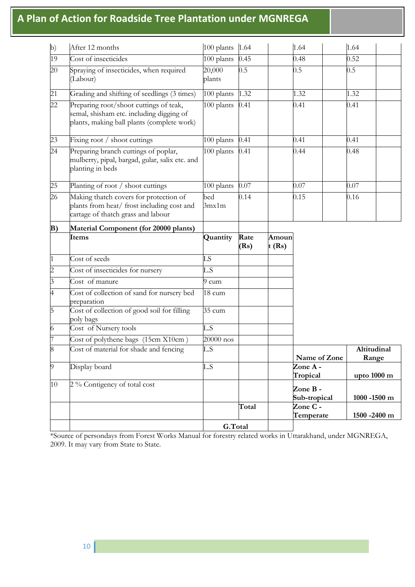| $\mathbf{b}$    | After 12 months                                                                                                                  | 100 plants       | 1.64         |                | 1.64                                | 1.64                           |
|-----------------|----------------------------------------------------------------------------------------------------------------------------------|------------------|--------------|----------------|-------------------------------------|--------------------------------|
| 19              | Cost of insecticides                                                                                                             | 100 plants       | 0.45         |                | 0.48                                | 0.52                           |
| 20              | Spraying of insecticides, when required<br>Labour)                                                                               | 20,000<br>plants | 0.5          |                | 0.5                                 | $0.5^{\circ}$                  |
| 21              | Grading and shifting of seedlings (3 times)                                                                                      | 100 plants       | 1.32         |                | 1.32                                | 1.32                           |
| 22              | Preparing root/shoot cuttings of teak,<br>semal, shisham etc. including digging of<br>plants, making ball plants (complete work) | 100 plants       | 0.41         |                | 0.41                                | 0.41                           |
| 23              | Fixing root / shoot cuttings                                                                                                     | 100 plants       | 0.41         |                | 0.41                                | 0.41                           |
| $\overline{24}$ | Preparing branch cuttings of poplar,<br>mulberry, pipal, bargad, gular, salix etc. and<br>planting in beds                       | 100 plants       | 0.41         |                | 0.44                                | 0.48                           |
| 25              | Planting of root / shoot cuttings                                                                                                | 100 plants       | 0.07         |                | 0.07                                | 0.07                           |
| 26              | Making thatch covers for protection of<br>plants from heat/ frost including cost and<br>cartage of thatch grass and labour       | bed<br>3mx1m     | 0.14         |                | 0.15                                | 0.16                           |
| B)              | Material Component (for 20000 plants)                                                                                            |                  |              |                |                                     |                                |
|                 | Items                                                                                                                            | Quantity         | Rate<br>(Rs) | Amoun<br>t(Rs) |                                     |                                |
|                 |                                                                                                                                  |                  |              |                |                                     |                                |
| $\vert$ 1       | Cost of seeds                                                                                                                    | LS               |              |                |                                     |                                |
| $\overline{2}$  | Cost of insecticides for nursery                                                                                                 | L.S              |              |                |                                     |                                |
| $\beta$         | Cost of manure                                                                                                                   | 9 cum            |              |                |                                     |                                |
| $\overline{A}$  | Cost of collection of sand for nursery bed<br>preparation                                                                        | 18 cum           |              |                |                                     |                                |
| $\overline{5}$  | Cost of collection of good soil for filling<br>poly bags                                                                         | $35 \text{ cum}$ |              |                |                                     |                                |
| 6               | Cost of Nursery tools                                                                                                            | L.S              |              |                |                                     |                                |
| 17              | Cost of polythene bags (15cm X10cm)                                                                                              | 20000 nos        |              |                |                                     |                                |
| 8               | Cost of material for shade and fencing                                                                                           | L.S              |              |                |                                     | Altitudinal                    |
| $\overline{9}$  | Display board                                                                                                                    | L.S              |              |                | Name of Zone<br>Zone A-             | Range                          |
| 10              | 2 % Contigency of total cost                                                                                                     |                  |              |                | Tropical<br>Zone B-<br>Sub-tropical | upto 1000 m<br>$1000 - 1500$ m |
|                 |                                                                                                                                  |                  | Total        |                | Zone C -<br>Temperate               | 1500 - 2400 m                  |

\*Source of persondays from Forest Works Manual for forestry related works in Uttarakhand, under MGNREGA, 2009. It may vary from State to State.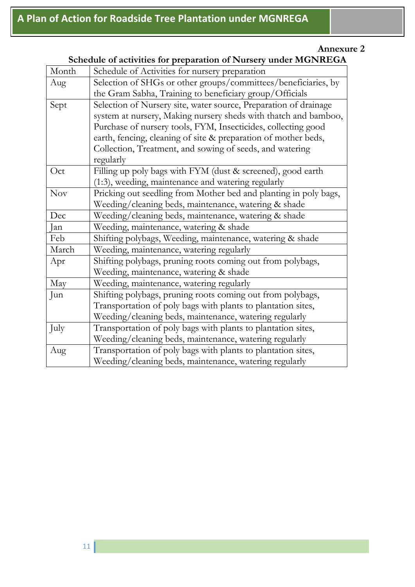| Month      | ochcain of activities for preparation of influence when well will be<br>Schedule of Activities for nursery preparation |  |  |  |  |  |
|------------|------------------------------------------------------------------------------------------------------------------------|--|--|--|--|--|
| Aug        | Selection of SHGs or other groups/committees/beneficiaries, by                                                         |  |  |  |  |  |
|            | the Gram Sabha, Training to beneficiary group/Officials                                                                |  |  |  |  |  |
| Sept       | Selection of Nursery site, water source, Preparation of drainage                                                       |  |  |  |  |  |
|            | system at nursery, Making nursery sheds with thatch and bamboo,                                                        |  |  |  |  |  |
|            | Purchase of nursery tools, FYM, Insecticides, collecting good                                                          |  |  |  |  |  |
|            | earth, fencing, cleaning of site & preparation of mother beds,                                                         |  |  |  |  |  |
|            | Collection, Treatment, and sowing of seeds, and watering                                                               |  |  |  |  |  |
|            | regularly                                                                                                              |  |  |  |  |  |
| Oct        | Filling up poly bags with FYM (dust & screened), good earth                                                            |  |  |  |  |  |
|            | (1:3), weeding, maintenance and watering regularly                                                                     |  |  |  |  |  |
| <b>Nov</b> | Pricking out seedling from Mother bed and planting in poly bags,                                                       |  |  |  |  |  |
|            | Weeding/cleaning beds, maintenance, watering & shade                                                                   |  |  |  |  |  |
| Dec        | Weeding/cleaning beds, maintenance, watering & shade                                                                   |  |  |  |  |  |
| Jan        | Weeding, maintenance, watering & shade                                                                                 |  |  |  |  |  |
| Feb        | Shifting polybags, Weeding, maintenance, watering & shade                                                              |  |  |  |  |  |
| March      | Weeding, maintenance, watering regularly                                                                               |  |  |  |  |  |
| Apr        | Shifting polybags, pruning roots coming out from polybags,                                                             |  |  |  |  |  |
|            | Weeding, maintenance, watering & shade                                                                                 |  |  |  |  |  |
| May        | Weeding, maintenance, watering regularly                                                                               |  |  |  |  |  |
| Jun        | Shifting polybags, pruning roots coming out from polybags,                                                             |  |  |  |  |  |
|            | Transportation of poly bags with plants to plantation sites,                                                           |  |  |  |  |  |
|            | Weeding/cleaning beds, maintenance, watering regularly                                                                 |  |  |  |  |  |
| July       | Transportation of poly bags with plants to plantation sites,                                                           |  |  |  |  |  |
|            | Weeding/cleaning beds, maintenance, watering regularly                                                                 |  |  |  |  |  |
| Aug        | Transportation of poly bags with plants to plantation sites,                                                           |  |  |  |  |  |
|            | Weeding/cleaning beds, maintenance, watering regularly                                                                 |  |  |  |  |  |

#### **Schedule of activities for preparation of Nursery under MGNREGA**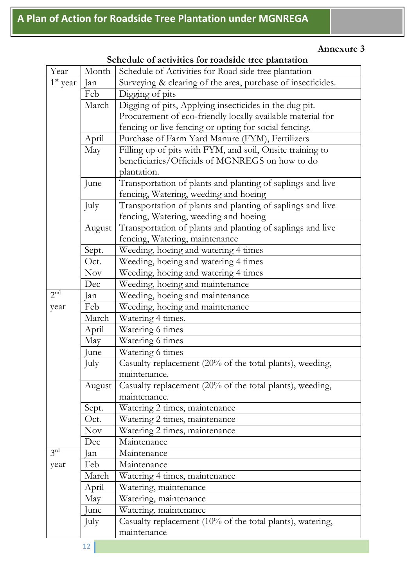| Year            | Month  | Schedule of Activities for Road side tree plantation        |
|-----------------|--------|-------------------------------------------------------------|
| $1st$ year      | Jan    | Surveying & clearing of the area, purchase of insecticides. |
|                 | Feb    | Digging of pits                                             |
|                 | March  | Digging of pits, Applying insecticides in the dug pit.      |
|                 |        | Procurement of eco-friendly locally available material for  |
|                 |        | fencing or live fencing or opting for social fencing.       |
|                 | April  | Purchase of Farm Yard Manure (FYM), Fertilizers             |
|                 | May    | Filling up of pits with FYM, and soil, Onsite training to   |
|                 |        | beneficiaries/Officials of MGNREGS on how to do             |
|                 |        | plantation.                                                 |
|                 | June   | Transportation of plants and planting of saplings and live  |
|                 |        | fencing, Watering, weeding and hoeing                       |
|                 | July   | Transportation of plants and planting of saplings and live  |
|                 |        | fencing, Watering, weeding and hoeing                       |
|                 | August | Transportation of plants and planting of saplings and live  |
|                 |        | fencing, Watering, maintenance                              |
|                 | Sept.  | Weeding, hoeing and watering 4 times                        |
|                 | Oct.   | Weeding, hoeing and watering 4 times                        |
|                 | Nov    | Weeding, hoeing and watering 4 times                        |
|                 | Dec    | Weeding, hoeing and maintenance                             |
| 2 <sup>nd</sup> | Jan    | Weeding, hoeing and maintenance                             |
| year            | Feb    | Weeding, hoeing and maintenance                             |
|                 | March  | Watering 4 times.                                           |
|                 | April  | Watering 6 times                                            |
|                 | May    | Watering 6 times                                            |
|                 | une    | Watering 6 times                                            |
|                 | July   | Casualty replacement (20% of the total plants), weeding,    |
|                 |        | <i>maintenance</i>                                          |
|                 | August | Casualty replacement (20% of the total plants), weeding,    |
|                 |        | maintenance.                                                |
|                 | Sept.  | Watering 2 times, maintenance                               |
|                 | Oct.   | Watering 2 times, maintenance                               |
|                 | Nov    | Watering 2 times, maintenance                               |
|                 | Dec    | Maintenance                                                 |
| $3^{rd}$        | an     | Maintenance                                                 |
| year            | Feb    | Maintenance                                                 |
|                 | March  | Watering 4 times, maintenance                               |
|                 | April  | Watering, maintenance                                       |
|                 | May    | Watering, maintenance                                       |
|                 | une    | Watering, maintenance                                       |
|                 | July   | Casualty replacement (10% of the total plants), watering,   |
|                 |        | maintenance                                                 |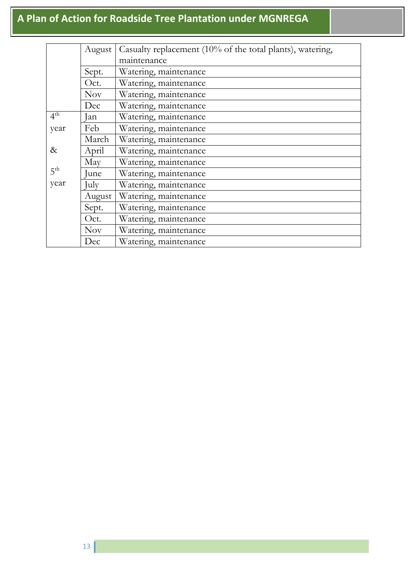|                 | August     | Casualty replacement (10% of the total plants), watering, |
|-----------------|------------|-----------------------------------------------------------|
|                 |            | maintenance                                               |
|                 | Sept.      | Watering, maintenance                                     |
|                 | Oct.       | Watering, maintenance                                     |
|                 | <b>Nov</b> | Watering, maintenance                                     |
|                 | Dec        | Watering, maintenance                                     |
| $4^{\text{th}}$ | Jan        | Watering, maintenance                                     |
| year            | Feb        | Watering, maintenance                                     |
|                 | March      | Watering, maintenance                                     |
| &               | April      | Watering, maintenance                                     |
|                 | May        | Watering, maintenance                                     |
| 5 <sup>th</sup> | June       | Watering, maintenance                                     |
| year            | July       | Watering, maintenance                                     |
|                 | August     | Watering, maintenance                                     |
|                 | Sept.      | Watering, maintenance                                     |
|                 | Oct.       | Watering, maintenance                                     |
|                 | <b>Nov</b> | Watering, maintenance                                     |
|                 | Dec        | Watering, maintenance                                     |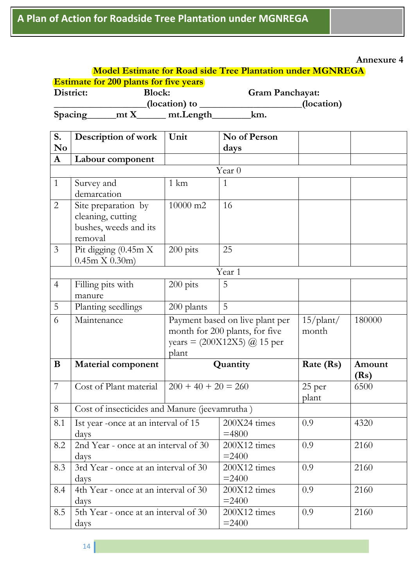|           |       |                                               | <b>Model Estimate for Road side Tree Plantation under MGNREGA</b> |            |
|-----------|-------|-----------------------------------------------|-------------------------------------------------------------------|------------|
|           |       | <b>Estimate for 200 plants for five years</b> |                                                                   |            |
| District: |       | <b>Block:</b>                                 | <b>Gram Panchayat:</b>                                            |            |
|           |       | (location) to                                 |                                                                   | (location) |
| Spacing   | m t X | mt.Length                                     | km.                                                               |            |

| N <sub>0</sub><br>days<br>${\bf A}$<br>Labour component<br>Year <sub>0</sub><br>1 km<br>$\mathbf{1}$<br>Survey and<br>$\mathbf{1}$<br>demarcation<br>$\overline{2}$<br>Site preparation by<br>10000 m2<br>16<br>cleaning, cutting<br>bushes, weeds and its<br>removal<br>Pit digging $(0.45 \text{m} \overline{\text{X}})$<br>200 pits<br>$\mathfrak{Z}$<br>25<br>0.45m X 0.30m<br>Year 1<br>5<br>Filling pits with<br>200 pits<br>$\overline{4}$<br>manure<br>5<br>5<br>Planting seedlings<br>200 plants<br>Maintenance<br>Payment based on live plant per<br>$15\text{/plant/}$<br>6<br>180000<br>month for 200 plants, for five<br>month<br>years = $(200X12X5)$ @ 15 per<br>plant<br>B<br>Rate (Rs)<br>Amount<br><b>Material component</b><br>Quantity<br>(Rs)<br>$\overline{7}$<br>Cost of Plant material<br>$200 + 40 + 20 = 260$<br>25 per<br>6500<br>plant<br>Cost of insecticides and Manure (jeevamrutha)<br>8<br>200X24 times<br>0.9<br>8.1<br>Ist year -once at an interval of 15<br>4320<br>$=4800$<br>days<br>200X12 times<br>8.2<br>2nd Year - once at an interval of 30<br>2160<br>0.9<br>$= 2400$<br>days<br>3rd Year - once at an interval of 30<br>200X12 times<br>0.9<br>8.3<br>2160<br>$= 2400$<br>days<br>4th Year - once at an interval of 30<br>0.9<br>8.4<br>$200X12$ times<br>2160 | S. | Description of work | Unit | No of Person |  |
|--------------------------------------------------------------------------------------------------------------------------------------------------------------------------------------------------------------------------------------------------------------------------------------------------------------------------------------------------------------------------------------------------------------------------------------------------------------------------------------------------------------------------------------------------------------------------------------------------------------------------------------------------------------------------------------------------------------------------------------------------------------------------------------------------------------------------------------------------------------------------------------------------------------------------------------------------------------------------------------------------------------------------------------------------------------------------------------------------------------------------------------------------------------------------------------------------------------------------------------------------------------------------------------------------------------|----|---------------------|------|--------------|--|
|                                                                                                                                                                                                                                                                                                                                                                                                                                                                                                                                                                                                                                                                                                                                                                                                                                                                                                                                                                                                                                                                                                                                                                                                                                                                                                              |    |                     |      |              |  |
|                                                                                                                                                                                                                                                                                                                                                                                                                                                                                                                                                                                                                                                                                                                                                                                                                                                                                                                                                                                                                                                                                                                                                                                                                                                                                                              |    |                     |      |              |  |
|                                                                                                                                                                                                                                                                                                                                                                                                                                                                                                                                                                                                                                                                                                                                                                                                                                                                                                                                                                                                                                                                                                                                                                                                                                                                                                              |    |                     |      |              |  |
|                                                                                                                                                                                                                                                                                                                                                                                                                                                                                                                                                                                                                                                                                                                                                                                                                                                                                                                                                                                                                                                                                                                                                                                                                                                                                                              |    |                     |      |              |  |
|                                                                                                                                                                                                                                                                                                                                                                                                                                                                                                                                                                                                                                                                                                                                                                                                                                                                                                                                                                                                                                                                                                                                                                                                                                                                                                              |    |                     |      |              |  |
|                                                                                                                                                                                                                                                                                                                                                                                                                                                                                                                                                                                                                                                                                                                                                                                                                                                                                                                                                                                                                                                                                                                                                                                                                                                                                                              |    |                     |      |              |  |
|                                                                                                                                                                                                                                                                                                                                                                                                                                                                                                                                                                                                                                                                                                                                                                                                                                                                                                                                                                                                                                                                                                                                                                                                                                                                                                              |    |                     |      |              |  |
|                                                                                                                                                                                                                                                                                                                                                                                                                                                                                                                                                                                                                                                                                                                                                                                                                                                                                                                                                                                                                                                                                                                                                                                                                                                                                                              |    |                     |      |              |  |
|                                                                                                                                                                                                                                                                                                                                                                                                                                                                                                                                                                                                                                                                                                                                                                                                                                                                                                                                                                                                                                                                                                                                                                                                                                                                                                              |    |                     |      |              |  |
|                                                                                                                                                                                                                                                                                                                                                                                                                                                                                                                                                                                                                                                                                                                                                                                                                                                                                                                                                                                                                                                                                                                                                                                                                                                                                                              |    |                     |      |              |  |
|                                                                                                                                                                                                                                                                                                                                                                                                                                                                                                                                                                                                                                                                                                                                                                                                                                                                                                                                                                                                                                                                                                                                                                                                                                                                                                              |    |                     |      |              |  |
|                                                                                                                                                                                                                                                                                                                                                                                                                                                                                                                                                                                                                                                                                                                                                                                                                                                                                                                                                                                                                                                                                                                                                                                                                                                                                                              |    |                     |      |              |  |
|                                                                                                                                                                                                                                                                                                                                                                                                                                                                                                                                                                                                                                                                                                                                                                                                                                                                                                                                                                                                                                                                                                                                                                                                                                                                                                              |    |                     |      |              |  |
|                                                                                                                                                                                                                                                                                                                                                                                                                                                                                                                                                                                                                                                                                                                                                                                                                                                                                                                                                                                                                                                                                                                                                                                                                                                                                                              |    |                     |      |              |  |
|                                                                                                                                                                                                                                                                                                                                                                                                                                                                                                                                                                                                                                                                                                                                                                                                                                                                                                                                                                                                                                                                                                                                                                                                                                                                                                              |    |                     |      |              |  |
|                                                                                                                                                                                                                                                                                                                                                                                                                                                                                                                                                                                                                                                                                                                                                                                                                                                                                                                                                                                                                                                                                                                                                                                                                                                                                                              |    |                     |      |              |  |
|                                                                                                                                                                                                                                                                                                                                                                                                                                                                                                                                                                                                                                                                                                                                                                                                                                                                                                                                                                                                                                                                                                                                                                                                                                                                                                              |    |                     |      |              |  |
|                                                                                                                                                                                                                                                                                                                                                                                                                                                                                                                                                                                                                                                                                                                                                                                                                                                                                                                                                                                                                                                                                                                                                                                                                                                                                                              |    |                     |      |              |  |
|                                                                                                                                                                                                                                                                                                                                                                                                                                                                                                                                                                                                                                                                                                                                                                                                                                                                                                                                                                                                                                                                                                                                                                                                                                                                                                              |    |                     |      |              |  |
|                                                                                                                                                                                                                                                                                                                                                                                                                                                                                                                                                                                                                                                                                                                                                                                                                                                                                                                                                                                                                                                                                                                                                                                                                                                                                                              |    |                     |      |              |  |
|                                                                                                                                                                                                                                                                                                                                                                                                                                                                                                                                                                                                                                                                                                                                                                                                                                                                                                                                                                                                                                                                                                                                                                                                                                                                                                              |    |                     |      |              |  |
|                                                                                                                                                                                                                                                                                                                                                                                                                                                                                                                                                                                                                                                                                                                                                                                                                                                                                                                                                                                                                                                                                                                                                                                                                                                                                                              |    |                     |      |              |  |
|                                                                                                                                                                                                                                                                                                                                                                                                                                                                                                                                                                                                                                                                                                                                                                                                                                                                                                                                                                                                                                                                                                                                                                                                                                                                                                              |    |                     |      |              |  |
|                                                                                                                                                                                                                                                                                                                                                                                                                                                                                                                                                                                                                                                                                                                                                                                                                                                                                                                                                                                                                                                                                                                                                                                                                                                                                                              |    |                     |      |              |  |
|                                                                                                                                                                                                                                                                                                                                                                                                                                                                                                                                                                                                                                                                                                                                                                                                                                                                                                                                                                                                                                                                                                                                                                                                                                                                                                              |    |                     |      |              |  |
|                                                                                                                                                                                                                                                                                                                                                                                                                                                                                                                                                                                                                                                                                                                                                                                                                                                                                                                                                                                                                                                                                                                                                                                                                                                                                                              |    |                     |      |              |  |
|                                                                                                                                                                                                                                                                                                                                                                                                                                                                                                                                                                                                                                                                                                                                                                                                                                                                                                                                                                                                                                                                                                                                                                                                                                                                                                              |    |                     |      |              |  |
|                                                                                                                                                                                                                                                                                                                                                                                                                                                                                                                                                                                                                                                                                                                                                                                                                                                                                                                                                                                                                                                                                                                                                                                                                                                                                                              |    |                     |      |              |  |
| $= 2400$                                                                                                                                                                                                                                                                                                                                                                                                                                                                                                                                                                                                                                                                                                                                                                                                                                                                                                                                                                                                                                                                                                                                                                                                                                                                                                     |    |                     |      |              |  |
| days<br>5th Year - once at an interval of 30<br>8.5<br>200X12 times<br>0.9<br>2160                                                                                                                                                                                                                                                                                                                                                                                                                                                                                                                                                                                                                                                                                                                                                                                                                                                                                                                                                                                                                                                                                                                                                                                                                           |    |                     |      |              |  |
| $= 2400$<br>days                                                                                                                                                                                                                                                                                                                                                                                                                                                                                                                                                                                                                                                                                                                                                                                                                                                                                                                                                                                                                                                                                                                                                                                                                                                                                             |    |                     |      |              |  |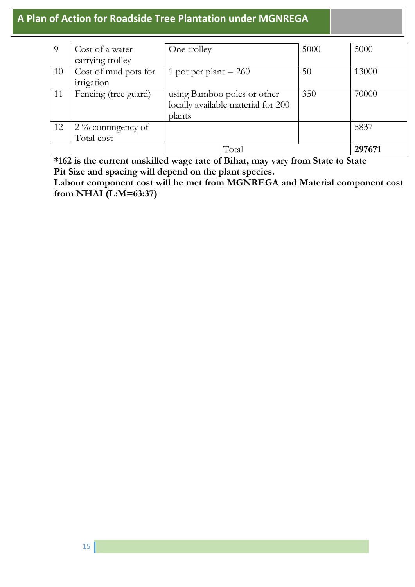| 9  | Cost of a water      | One trolley                        | 5000 | 5000   |
|----|----------------------|------------------------------------|------|--------|
|    | carrying trolley     |                                    |      |        |
| 10 | Cost of mud pots for | 1 pot per plant $= 260$            | 50   | 13000  |
|    | irrigation           |                                    |      |        |
| 11 | Fencing (tree guard) | using Bamboo poles or other        | 350  | 70000  |
|    |                      | locally available material for 200 |      |        |
|    |                      | plants                             |      |        |
| 12 | $2\%$ contingency of |                                    |      | 5837   |
|    | Total cost           |                                    |      |        |
|    |                      | Total                              |      | 297671 |

**\*162 is the current unskilled wage rate of Bihar, may vary from State to State Pit Size and spacing will depend on the plant species.** 

Labour component cost will be met from MGNREGA and Material component cost **from NHAI (L:M=63:37)**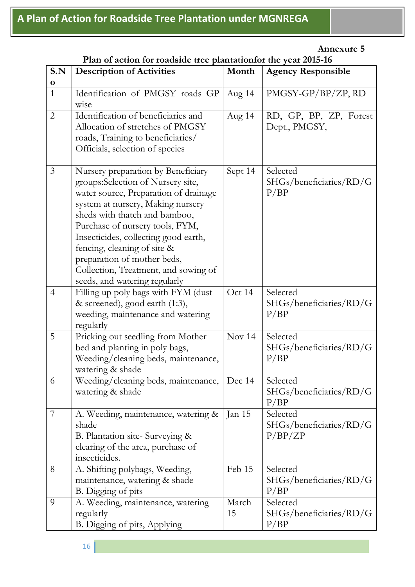| Plan of action for roadside tree plantationfor the year 2015-16 |  |
|-----------------------------------------------------------------|--|
|-----------------------------------------------------------------|--|

| S.N<br>$\mathbf 0$ | <b>Description of Activities</b>                                                                                                                                                                                                                                                                                                                                                                         | Month       | <b>Agency Responsible</b>                      |
|--------------------|----------------------------------------------------------------------------------------------------------------------------------------------------------------------------------------------------------------------------------------------------------------------------------------------------------------------------------------------------------------------------------------------------------|-------------|------------------------------------------------|
| $\mathbf{1}$       | Identification of PMGSY roads GP<br>wise                                                                                                                                                                                                                                                                                                                                                                 | Aug 14      | PMGSY-GP/BP/ZP, RD                             |
| $\overline{2}$     | Identification of beneficiaries and<br>Allocation of stretches of PMGSY<br>roads, Training to beneficiaries/<br>Officials, selection of species                                                                                                                                                                                                                                                          | Aug $14$    | RD, GP, BP, ZP, Forest<br>Dept., PMGSY,        |
| $\mathfrak{Z}$     | Nursery preparation by Beneficiary<br>groups:Selection of Nursery site,<br>water source, Preparation of drainage<br>system at nursery, Making nursery<br>sheds with thatch and bamboo,<br>Purchase of nursery tools, FYM,<br>Insecticides, collecting good earth,<br>fencing, cleaning of site &<br>preparation of mother beds,<br>Collection, Treatment, and sowing of<br>seeds, and watering regularly | Sept 14     | Selected<br>SHGs/beneficiaries/RD/G<br>P/BP    |
| $\overline{4}$     | Filling up poly bags with FYM (dust<br>& screened), good earth (1:3),<br>weeding, maintenance and watering<br>regularly                                                                                                                                                                                                                                                                                  | Oct 14      | Selected<br>SHGs/beneficiaries/RD/G<br>P/BP    |
| 5                  | Pricking out seedling from Mother<br>bed and planting in poly bags,<br>Weeding/cleaning beds, maintenance,<br>watering & shade                                                                                                                                                                                                                                                                           | Nov $14$    | Selected<br>SHGs/beneficiaries/RD/G<br>P/BP    |
| 6                  | Weeding/cleaning beds, maintenance,<br>watering & shade                                                                                                                                                                                                                                                                                                                                                  | Dec 14      | Selected<br>SHGs/beneficiaries/RD/G<br>P/BP    |
| $\overline{7}$     | A. Weeding, maintenance, watering &<br>shade<br>B. Plantation site-Surveying &<br>clearing of the area, purchase of<br>insecticides.                                                                                                                                                                                                                                                                     | Jan $15$    | Selected<br>SHGs/beneficiaries/RD/G<br>P/BP/ZP |
| 8                  | A. Shifting polybags, Weeding,<br>maintenance, watering & shade<br>B. Digging of pits                                                                                                                                                                                                                                                                                                                    | Feb 15      | Selected<br>SHGs/beneficiaries/RD/G<br>P/BP    |
| 9                  | A. Weeding, maintenance, watering<br>regularly<br>B. Digging of pits, Applying                                                                                                                                                                                                                                                                                                                           | March<br>15 | Selected<br>SHGs/beneficiaries/RD/G<br>P/BP    |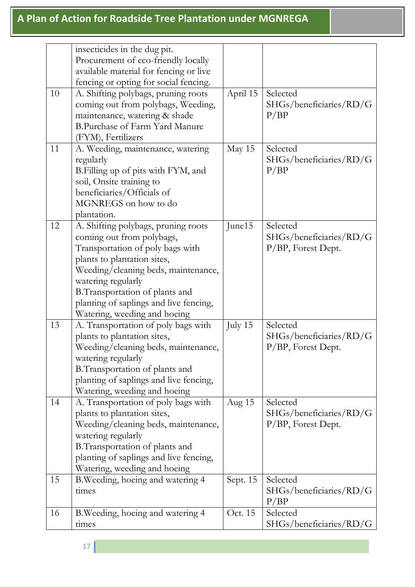|    | insecticides in the dug pit.           |          |                         |
|----|----------------------------------------|----------|-------------------------|
|    | Procurement of eco-friendly locally    |          |                         |
|    | available material for fencing or live |          |                         |
|    | fencing or opting for social fencing.  |          |                         |
| 10 | A. Shifting polybags, pruning roots    | April 15 | Selected                |
|    | coming out from polybags, Weeding,     |          | SHGs/beneficiaries/RD/G |
|    | maintenance, watering & shade          |          | P/BP                    |
|    | B.Purchase of Farm Yard Manure         |          |                         |
|    | (FYM), Fertilizers                     |          |                         |
| 11 | A. Weeding, maintenance, watering      | May 15   | Selected                |
|    | regularly                              |          | SHGs/beneficiaries/RD/G |
|    | B. Filling up of pits with FYM, and    |          | P/BP                    |
|    | soil, Onsite training to               |          |                         |
|    | beneficiaries/Officials of             |          |                         |
|    | MGNREGS on how to do                   |          |                         |
|    | plantation.                            |          |                         |
| 12 | A. Shifting polybags, pruning roots    | June15   | Selected                |
|    | coming out from polybags,              |          | SHGs/beneficiaries/RD/G |
|    | Transportation of poly bags with       |          | P/BP, Forest Dept.      |
|    | plants to plantation sites,            |          |                         |
|    | Weeding/cleaning beds, maintenance,    |          |                         |
|    | watering regularly                     |          |                         |
|    | B. Transportation of plants and        |          |                         |
|    | planting of saplings and live fencing, |          |                         |
|    | Watering, weeding and hoeing           |          |                         |
| 13 | A. Transportation of poly bags with    | July 15  | Selected                |
|    | plants to plantation sites,            |          | SHGs/beneficiaries/RD/G |
|    | Weeding/cleaning beds, maintenance,    |          | $P/BP$ , Forest Dept.   |
|    | watering regularly                     |          |                         |
|    | B.Transportation of plants and         |          |                         |
|    | planting of saplings and live fencing, |          |                         |
|    | Watering, weeding and hoeing           |          |                         |
| 14 | A. Transportation of poly bags with    | Aug 15   | Selected                |
|    | plants to plantation sites,            |          | SHGs/beneficiaries/RD/G |
|    | Weeding/cleaning beds, maintenance,    |          | P/BP, Forest Dept.      |
|    | watering regularly                     |          |                         |
|    | B.Transportation of plants and         |          |                         |
|    | planting of saplings and live fencing, |          |                         |
|    | Watering, weeding and hoeing           |          |                         |
| 15 | B. Weeding, hoeing and watering 4      | Sept. 15 | Selected                |
|    | times                                  |          | SHGs/beneficiaries/RD/G |
|    |                                        |          | P/BP                    |
| 16 | B. Weeding, hoeing and watering 4      | Oct. 15  | Selected                |
|    | times                                  |          | SHGs/beneficiaries/RD/G |